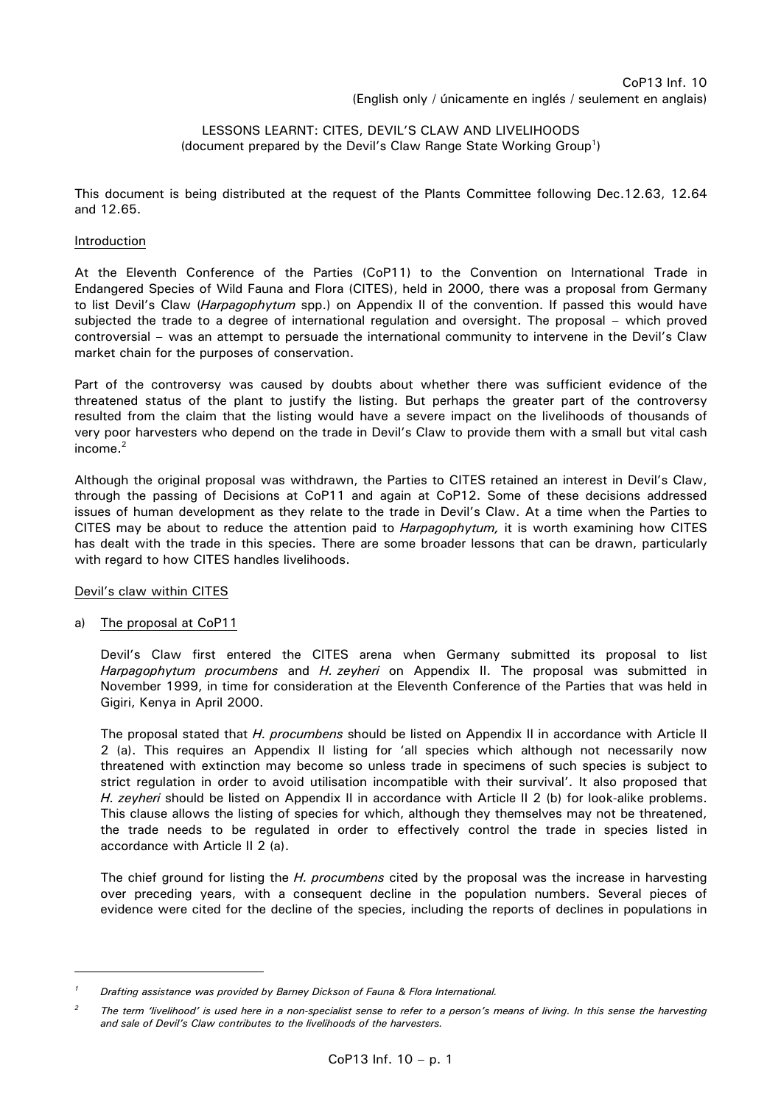# LESSONS LEARNT: CITES, DEVIL'S CLAW AND LIVELIHOODS (document prepared by the Devil's Claw Range State Working Group<sup>1</sup>)

This document is being distributed at the request of the Plants Committee following Dec.12.63, 12.64 and 12.65.

## Introduction

At the Eleventh Conference of the Parties (CoP11) to the Convention on International Trade in Endangered Species of Wild Fauna and Flora (CITES), held in 2000, there was a proposal from Germany to list Devil's Claw (*Harpagophytum* spp.) on Appendix II of the convention. If passed this would have subjected the trade to a degree of international regulation and oversight. The proposal – which proved controversial – was an attempt to persuade the international community to intervene in the Devil's Claw market chain for the purposes of conservation.

Part of the controversy was caused by doubts about whether there was sufficient evidence of the threatened status of the plant to justify the listing. But perhaps the greater part of the controversy resulted from the claim that the listing would have a severe impact on the livelihoods of thousands of very poor harvesters who depend on the trade in Devil's Claw to provide them with a small but vital cash income.<sup>2</sup>

Although the original proposal was withdrawn, the Parties to CITES retained an interest in Devil's Claw, through the passing of Decisions at CoP11 and again at CoP12. Some of these decisions addressed issues of human development as they relate to the trade in Devil's Claw. At a time when the Parties to CITES may be about to reduce the attention paid to *Harpagophytum,* it is worth examining how CITES has dealt with the trade in this species. There are some broader lessons that can be drawn, particularly with regard to how CITES handles livelihoods.

## Devil's claw within CITES

# a) The proposal at CoP11

 Devil's Claw first entered the CITES arena when Germany submitted its proposal to list *Harpagophytum procumbens* and *H. zeyheri* on Appendix II. The proposal was submitted in November 1999, in time for consideration at the Eleventh Conference of the Parties that was held in Gigiri, Kenya in April 2000.

 The proposal stated that *H. procumbens* should be listed on Appendix II in accordance with Article II 2 (a). This requires an Appendix II listing for 'all species which although not necessarily now threatened with extinction may become so unless trade in specimens of such species is subject to strict regulation in order to avoid utilisation incompatible with their survival'. It also proposed that *H. zeyheri* should be listed on Appendix II in accordance with Article II 2 (b) for look-alike problems. This clause allows the listing of species for which, although they themselves may not be threatened, the trade needs to be regulated in order to effectively control the trade in species listed in accordance with Article II 2 (a).

 The chief ground for listing the *H. procumbens* cited by the proposal was the increase in harvesting over preceding years, with a consequent decline in the population numbers. Several pieces of evidence were cited for the decline of the species, including the reports of declines in populations in

*<sup>1</sup> Drafting assistance was provided by Barney Dickson of Fauna & Flora International.* 

*<sup>2</sup> The term 'livelihood' is used here in a non-specialist sense to refer to a person's means of living. In this sense the harvesting and sale of Devil's Claw contributes to the livelihoods of the harvesters.*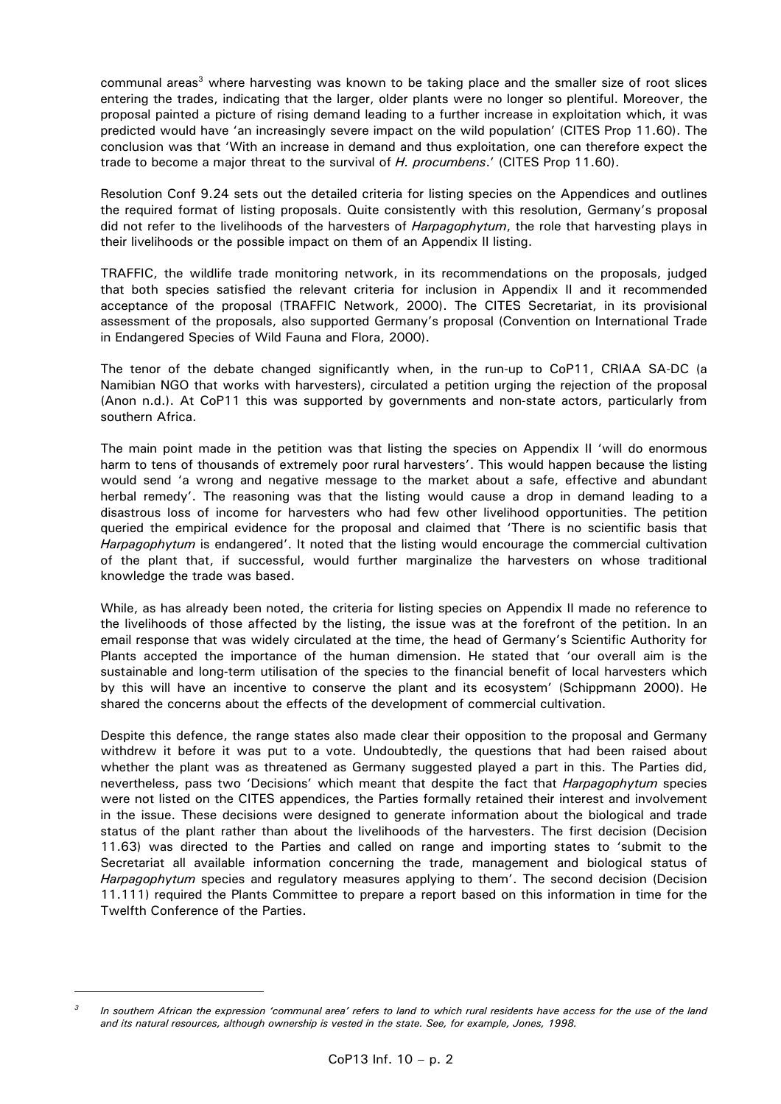communal areas<sup>3</sup> where harvesting was known to be taking place and the smaller size of root slices entering the trades, indicating that the larger, older plants were no longer so plentiful. Moreover, the proposal painted a picture of rising demand leading to a further increase in exploitation which, it was predicted would have 'an increasingly severe impact on the wild population' (CITES Prop 11.60). The conclusion was that 'With an increase in demand and thus exploitation, one can therefore expect the trade to become a major threat to the survival of *H. procumbens*.' (CITES Prop 11.60).

 Resolution Conf 9.24 sets out the detailed criteria for listing species on the Appendices and outlines the required format of listing proposals. Quite consistently with this resolution, Germany's proposal did not refer to the livelihoods of the harvesters of *Harpagophytum*, the role that harvesting plays in their livelihoods or the possible impact on them of an Appendix II listing.

 TRAFFIC, the wildlife trade monitoring network, in its recommendations on the proposals, judged that both species satisfied the relevant criteria for inclusion in Appendix II and it recommended acceptance of the proposal (TRAFFIC Network, 2000). The CITES Secretariat, in its provisional assessment of the proposals, also supported Germany's proposal (Convention on International Trade in Endangered Species of Wild Fauna and Flora, 2000).

 The tenor of the debate changed significantly when, in the run-up to CoP11, CRIAA SA-DC (a Namibian NGO that works with harvesters), circulated a petition urging the rejection of the proposal (Anon n.d.). At CoP11 this was supported by governments and non-state actors, particularly from southern Africa.

 The main point made in the petition was that listing the species on Appendix II 'will do enormous harm to tens of thousands of extremely poor rural harvesters'. This would happen because the listing would send 'a wrong and negative message to the market about a safe, effective and abundant herbal remedy'. The reasoning was that the listing would cause a drop in demand leading to a disastrous loss of income for harvesters who had few other livelihood opportunities. The petition queried the empirical evidence for the proposal and claimed that 'There is no scientific basis that *Harpagophytum* is endangered'. It noted that the listing would encourage the commercial cultivation of the plant that, if successful, would further marginalize the harvesters on whose traditional knowledge the trade was based.

 While, as has already been noted, the criteria for listing species on Appendix II made no reference to the livelihoods of those affected by the listing, the issue was at the forefront of the petition. In an email response that was widely circulated at the time, the head of Germany's Scientific Authority for Plants accepted the importance of the human dimension. He stated that 'our overall aim is the sustainable and long-term utilisation of the species to the financial benefit of local harvesters which by this will have an incentive to conserve the plant and its ecosystem' (Schippmann 2000). He shared the concerns about the effects of the development of commercial cultivation.

 Despite this defence, the range states also made clear their opposition to the proposal and Germany withdrew it before it was put to a vote. Undoubtedly, the questions that had been raised about whether the plant was as threatened as Germany suggested played a part in this. The Parties did, nevertheless, pass two 'Decisions' which meant that despite the fact that *Harpagophytum* species were not listed on the CITES appendices, the Parties formally retained their interest and involvement in the issue. These decisions were designed to generate information about the biological and trade status of the plant rather than about the livelihoods of the harvesters. The first decision (Decision 11.63) was directed to the Parties and called on range and importing states to 'submit to the Secretariat all available information concerning the trade, management and biological status of *Harpagophytum* species and regulatory measures applying to them'. The second decision (Decision 11.111) required the Plants Committee to prepare a report based on this information in time for the Twelfth Conference of the Parties.

*<sup>3</sup> In southern African the expression 'communal area' refers to land to which rural residents have access for the use of the land and its natural resources, although ownership is vested in the state. See, for example, Jones, 1998.*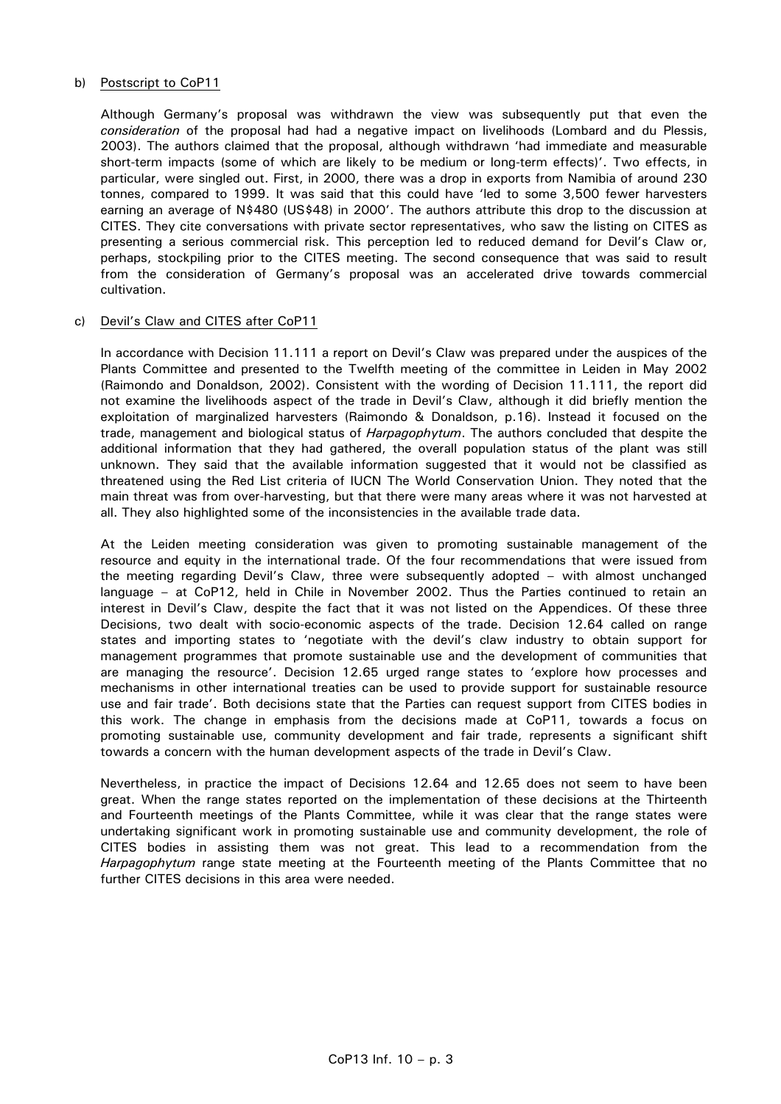## b) Postscript to CoP11

 Although Germany's proposal was withdrawn the view was subsequently put that even the *consideration* of the proposal had had a negative impact on livelihoods (Lombard and du Plessis, 2003). The authors claimed that the proposal, although withdrawn 'had immediate and measurable short-term impacts (some of which are likely to be medium or long-term effects)'. Two effects, in particular, were singled out. First, in 2000, there was a drop in exports from Namibia of around 230 tonnes, compared to 1999. It was said that this could have 'led to some 3,500 fewer harvesters earning an average of N\$480 (US\$48) in 2000'. The authors attribute this drop to the discussion at CITES. They cite conversations with private sector representatives, who saw the listing on CITES as presenting a serious commercial risk. This perception led to reduced demand for Devil's Claw or, perhaps, stockpiling prior to the CITES meeting. The second consequence that was said to result from the consideration of Germany's proposal was an accelerated drive towards commercial cultivation.

#### c) Devil's Claw and CITES after CoP11

 In accordance with Decision 11.111 a report on Devil's Claw was prepared under the auspices of the Plants Committee and presented to the Twelfth meeting of the committee in Leiden in May 2002 (Raimondo and Donaldson, 2002). Consistent with the wording of Decision 11.111, the report did not examine the livelihoods aspect of the trade in Devil's Claw, although it did briefly mention the exploitation of marginalized harvesters (Raimondo & Donaldson, p.16). Instead it focused on the trade, management and biological status of *Harpagophytum*. The authors concluded that despite the additional information that they had gathered, the overall population status of the plant was still unknown. They said that the available information suggested that it would not be classified as threatened using the Red List criteria of IUCN The World Conservation Union. They noted that the main threat was from over-harvesting, but that there were many areas where it was not harvested at all. They also highlighted some of the inconsistencies in the available trade data.

 At the Leiden meeting consideration was given to promoting sustainable management of the resource and equity in the international trade. Of the four recommendations that were issued from the meeting regarding Devil's Claw, three were subsequently adopted – with almost unchanged language – at CoP12, held in Chile in November 2002. Thus the Parties continued to retain an interest in Devil's Claw, despite the fact that it was not listed on the Appendices. Of these three Decisions, two dealt with socio-economic aspects of the trade. Decision 12.64 called on range states and importing states to 'negotiate with the devil's claw industry to obtain support for management programmes that promote sustainable use and the development of communities that are managing the resource'. Decision 12.65 urged range states to 'explore how processes and mechanisms in other international treaties can be used to provide support for sustainable resource use and fair trade'. Both decisions state that the Parties can request support from CITES bodies in this work. The change in emphasis from the decisions made at CoP11, towards a focus on promoting sustainable use, community development and fair trade, represents a significant shift towards a concern with the human development aspects of the trade in Devil's Claw.

 Nevertheless, in practice the impact of Decisions 12.64 and 12.65 does not seem to have been great. When the range states reported on the implementation of these decisions at the Thirteenth and Fourteenth meetings of the Plants Committee, while it was clear that the range states were undertaking significant work in promoting sustainable use and community development, the role of CITES bodies in assisting them was not great. This lead to a recommendation from the *Harpagophytum* range state meeting at the Fourteenth meeting of the Plants Committee that no further CITES decisions in this area were needed.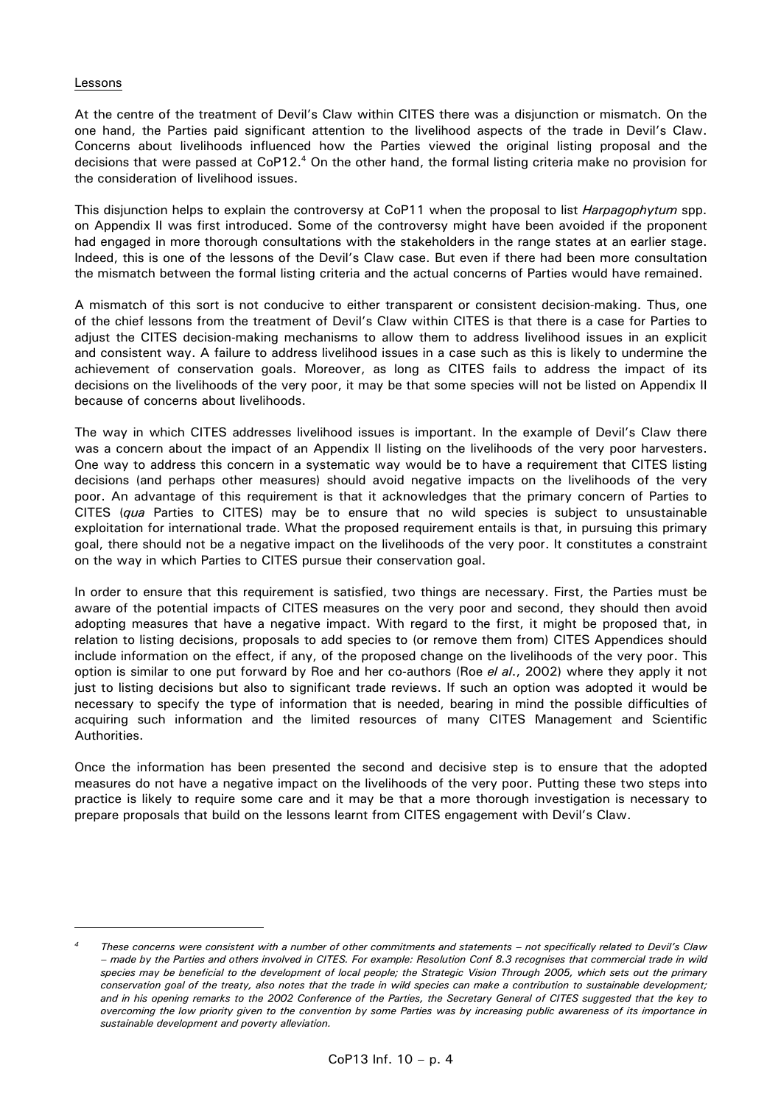## Lessons

At the centre of the treatment of Devil's Claw within CITES there was a disjunction or mismatch. On the one hand, the Parties paid significant attention to the livelihood aspects of the trade in Devil's Claw. Concerns about livelihoods influenced how the Parties viewed the original listing proposal and the decisions that were passed at CoP12.<sup>4</sup> On the other hand, the formal listing criteria make no provision for the consideration of livelihood issues.

This disjunction helps to explain the controversy at CoP11 when the proposal to list *Harpagophytum* spp. on Appendix II was first introduced. Some of the controversy might have been avoided if the proponent had engaged in more thorough consultations with the stakeholders in the range states at an earlier stage. Indeed, this is one of the lessons of the Devil's Claw case. But even if there had been more consultation the mismatch between the formal listing criteria and the actual concerns of Parties would have remained.

A mismatch of this sort is not conducive to either transparent or consistent decision-making. Thus, one of the chief lessons from the treatment of Devil's Claw within CITES is that there is a case for Parties to adjust the CITES decision-making mechanisms to allow them to address livelihood issues in an explicit and consistent way. A failure to address livelihood issues in a case such as this is likely to undermine the achievement of conservation goals. Moreover, as long as CITES fails to address the impact of its decisions on the livelihoods of the very poor, it may be that some species will not be listed on Appendix II because of concerns about livelihoods.

The way in which CITES addresses livelihood issues is important. In the example of Devil's Claw there was a concern about the impact of an Appendix II listing on the livelihoods of the very poor harvesters. One way to address this concern in a systematic way would be to have a requirement that CITES listing decisions (and perhaps other measures) should avoid negative impacts on the livelihoods of the very poor. An advantage of this requirement is that it acknowledges that the primary concern of Parties to CITES (*qua* Parties to CITES) may be to ensure that no wild species is subject to unsustainable exploitation for international trade. What the proposed requirement entails is that, in pursuing this primary goal, there should not be a negative impact on the livelihoods of the very poor. It constitutes a constraint on the way in which Parties to CITES pursue their conservation goal.

In order to ensure that this requirement is satisfied, two things are necessary. First, the Parties must be aware of the potential impacts of CITES measures on the very poor and second, they should then avoid adopting measures that have a negative impact. With regard to the first, it might be proposed that, in relation to listing decisions, proposals to add species to (or remove them from) CITES Appendices should include information on the effect, if any, of the proposed change on the livelihoods of the very poor. This option is similar to one put forward by Roe and her co-authors (Roe *el al*., 2002) where they apply it not just to listing decisions but also to significant trade reviews. If such an option was adopted it would be necessary to specify the type of information that is needed, bearing in mind the possible difficulties of acquiring such information and the limited resources of many CITES Management and Scientific Authorities.

Once the information has been presented the second and decisive step is to ensure that the adopted measures do not have a negative impact on the livelihoods of the very poor. Putting these two steps into practice is likely to require some care and it may be that a more thorough investigation is necessary to prepare proposals that build on the lessons learnt from CITES engagement with Devil's Claw.

*<sup>4</sup> These concerns were consistent with a number of other commitments and statements – not specifically related to Devil's Claw – made by the Parties and others involved in CITES. For example: Resolution Conf 8.3 recognises that commercial trade in wild species may be beneficial to the development of local people; the Strategic Vision Through 2005, which sets out the primary conservation goal of the treaty, also notes that the trade in wild species can make a contribution to sustainable development; and in his opening remarks to the 2002 Conference of the Parties, the Secretary General of CITES suggested that the key to overcoming the low priority given to the convention by some Parties was by increasing public awareness of its importance in sustainable development and poverty alleviation.*